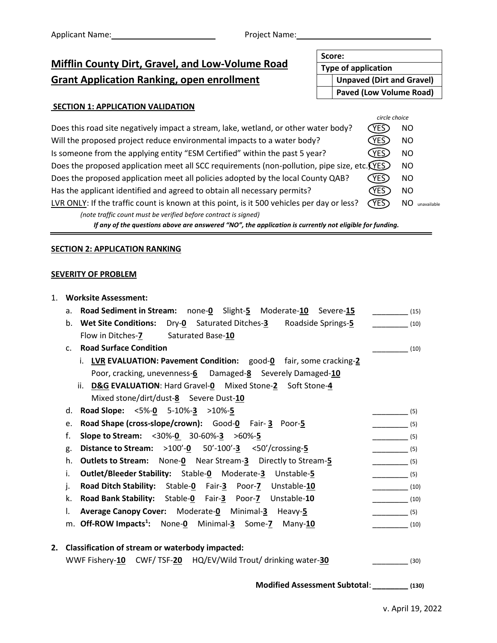## **Mifflin County Dirt, Gravel, and Low-Volume Road Grant Application Ranking, open enrollment**

## **SECTION 1: APPLICATION VALIDATION**

| Does this road site negatively impact a stream, lake, wetland, or other water body?         | YES         | <b>NO</b>         |
|---------------------------------------------------------------------------------------------|-------------|-------------------|
| Will the proposed project reduce environmental impacts to a water body?                     | YES         | <b>NO</b>         |
| Is someone from the applying entity "ESM Certified" within the past 5 year?                 | <b>YES</b>  | <b>NO</b>         |
| Does the proposed application meet all SCC requirements (non-pollution, pipe size, etc. YES |             | NO.               |
| Does the proposed application meet all policies adopted by the local County QAB?            | <b>YES</b>  | <b>NO</b>         |
| Has the applicant identified and agreed to obtain all necessary permits?                    | YES .       | <b>NO</b>         |
| LVR ONLY: If the traffic count is known at this point, is it 500 vehicles per day or less?  | <b>CYES</b> | ΝO<br>unavailable |
| (note traffic count must be verified before contract is signed)                             |             |                   |
|                                                                                             |             |                   |

*If any of the questions above are answered "NO", the application is currently not eligible for funding.*

## **SECTION 2: APPLICATION RANKING**

## **SEVERITY OF PROBLEM**

| 1. |                | <b>Worksite Assessment:</b>                                                    |                                                     |      |
|----|----------------|--------------------------------------------------------------------------------|-----------------------------------------------------|------|
|    | а.             | <b>Road Sediment in Stream:</b> none-0 Slight-5 Moderate-10 Severe-15          | (15)                                                |      |
|    |                | b. Wet Site Conditions: Dry-0 Saturated Ditches-3 Roadside Springs-5           | (10)                                                |      |
|    |                | Flow in Ditches-7 Saturated Base-10                                            |                                                     |      |
|    | C <sub>1</sub> | <b>Road Surface Condition</b>                                                  | (10)                                                |      |
|    |                | i. LVR EVALUATION: Pavement Condition: good-0 fair, some cracking-2            |                                                     |      |
|    |                | Poor, cracking, unevenness-6  Damaged-8  Severely Damaged-10                   |                                                     |      |
|    |                | ii. D&G EVALUATION: Hard Gravel-0 Mixed Stone-2 Soft Stone-4                   |                                                     |      |
|    |                | Mixed stone/dirt/dust-8 Severe Dust-10                                         |                                                     |      |
|    | d.             | Road Slope: <5%-0 5-10%-3 >10%-5                                               | $\overline{\qquad \qquad }$ (5)                     |      |
|    | e.             | Road Shape (cross-slope/crown): Good-0 Fair-3 Poor-5                           | $\begin{array}{c}\n- \quad \text{(5)}\n\end{array}$ |      |
|    | f.             | Slope to Stream: <30%-0 30-60%-3 >60%-5                                        | $\frac{\ }{\ }$ (5)                                 |      |
|    | g.             | <b>Distance to Stream:</b> $>100' - 0$ 50'-100'- $\frac{3}{5}$ <50'/crossing-5 | $\frac{\ }{\ }$ (5)                                 |      |
|    | h.             | <b>Outlets to Stream:</b> None-0 Near Stream-3 Directly to Stream-5            | $\frac{\phantom{0}}{\phantom{0}}$ (5)               |      |
|    | i.             | Outlet/Bleeder Stability: Stable-0 Moderate-3 Unstable-5                       | $\overline{\phantom{a} \phantom{a}}$ (5)            |      |
|    | j.             | Road Ditch Stability: Stable-0 Fair-3 Poor-7 Unstable-10                       |                                                     |      |
|    | k.             | Road Bank Stability: Stable-0 Fair-3 Poor-7 Unstable-10                        |                                                     |      |
|    | I.             | Average Canopy Cover: Moderate-0 Minimal-3 Heavy-5                             | $\sim$ (5)                                          |      |
|    |                | m. Off-ROW Impacts <sup>1</sup> : None-0 Minimal-3 Some-7 Many-10              |                                                     |      |
|    |                |                                                                                |                                                     |      |
| 2. |                | <b>Classification of stream or waterbody impacted:</b>                         |                                                     |      |
|    |                | WWF Fishery-10 CWF/TSF-20 HQ/EV/Wild Trout/ drinking water-30                  |                                                     | (30) |
|    |                |                                                                                |                                                     |      |
|    |                | Modified Assessment Subtotal: (130)                                            |                                                     |      |

**Unpaved (Dirt and Gravel)**

**Score:**

**Type of application**